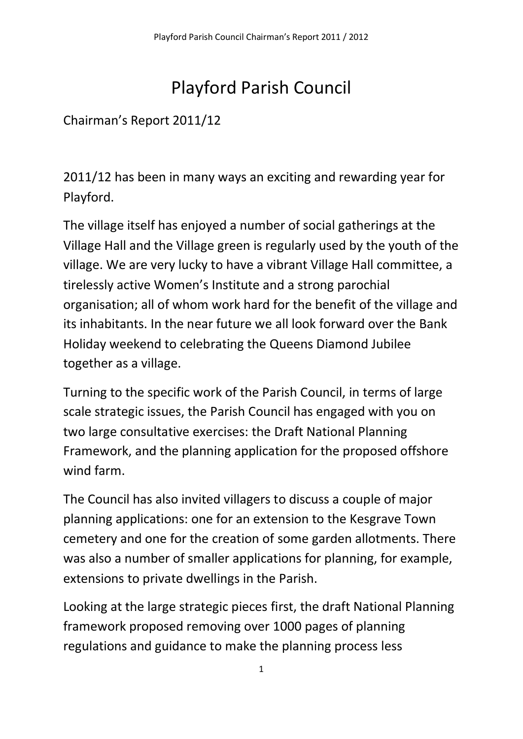## Playford Parish Council

## Chairman's Report 2011/12

2011/12 has been in many ways an exciting and rewarding year for Playford.

The village itself has enjoyed a number of social gatherings at the Village Hall and the Village green is regularly used by the youth of the village. We are very lucky to have a vibrant Village Hall committee, a tirelessly active Women's Institute and a strong parochial organisation; all of whom work hard for the benefit of the village and its inhabitants. In the near future we all look forward over the Bank Holiday weekend to celebrating the Queens Diamond Jubilee together as a village.

Turning to the specific work of the Parish Council, in terms of large scale strategic issues, the Parish Council has engaged with you on two large consultative exercises: the Draft National Planning Framework, and the planning application for the proposed offshore wind farm.

The Council has also invited villagers to discuss a couple of major planning applications: one for an extension to the Kesgrave Town cemetery and one for the creation of some garden allotments. There was also a number of smaller applications for planning, for example, extensions to private dwellings in the Parish.

Looking at the large strategic pieces first, the draft National Planning framework proposed removing over 1000 pages of planning regulations and guidance to make the planning process less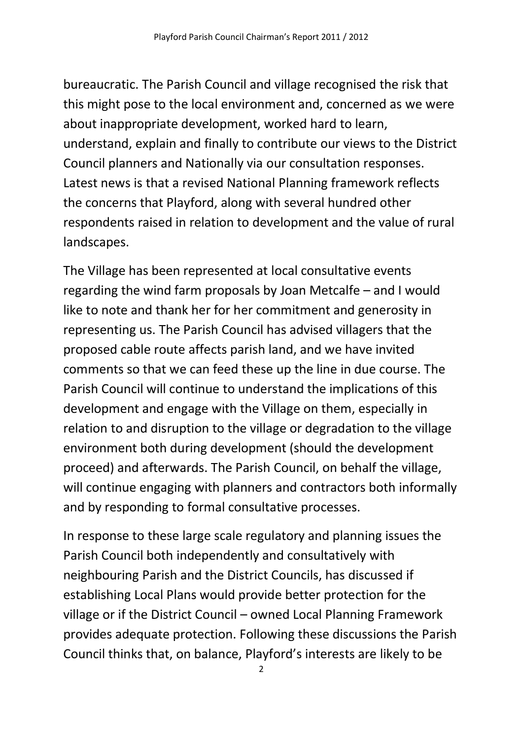bureaucratic. The Parish Council and village recognised the risk that this might pose to the local environment and, concerned as we were about inappropriate development, worked hard to learn, understand, explain and finally to contribute our views to the District Council planners and Nationally via our consultation responses. Latest news is that a revised National Planning framework reflects the concerns that Playford, along with several hundred other respondents raised in relation to development and the value of rural landscapes.

The Village has been represented at local consultative events regarding the wind farm proposals by Joan Metcalfe – and I would like to note and thank her for her commitment and generosity in representing us. The Parish Council has advised villagers that the proposed cable route affects parish land, and we have invited comments so that we can feed these up the line in due course. The Parish Council will continue to understand the implications of this development and engage with the Village on them, especially in relation to and disruption to the village or degradation to the village environment both during development (should the development proceed) and afterwards. The Parish Council, on behalf the village, will continue engaging with planners and contractors both informally and by responding to formal consultative processes.

In response to these large scale regulatory and planning issues the Parish Council both independently and consultatively with neighbouring Parish and the District Councils, has discussed if establishing Local Plans would provide better protection for the village or if the District Council – owned Local Planning Framework provides adequate protection. Following these discussions the Parish Council thinks that, on balance, Playford's interests are likely to be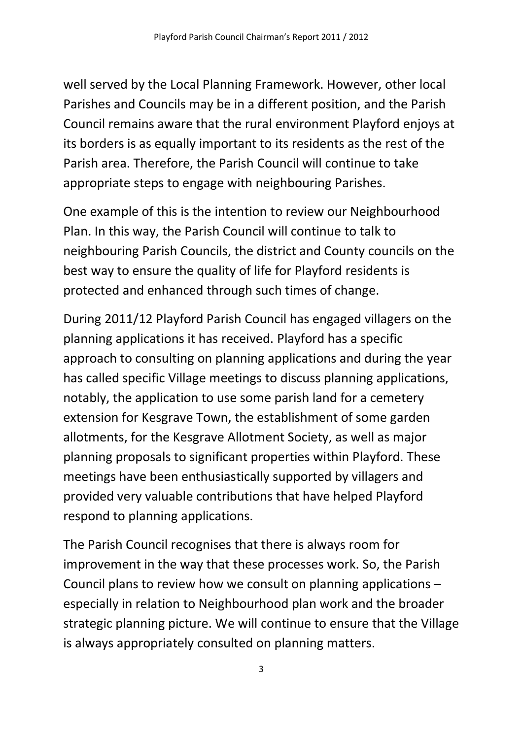well served by the Local Planning Framework. However, other local Parishes and Councils may be in a different position, and the Parish Council remains aware that the rural environment Playford enjoys at its borders is as equally important to its residents as the rest of the Parish area. Therefore, the Parish Council will continue to take appropriate steps to engage with neighbouring Parishes.

One example of this is the intention to review our Neighbourhood Plan. In this way, the Parish Council will continue to talk to neighbouring Parish Councils, the district and County councils on the best way to ensure the quality of life for Playford residents is protected and enhanced through such times of change.

During 2011/12 Playford Parish Council has engaged villagers on the planning applications it has received. Playford has a specific approach to consulting on planning applications and during the year has called specific Village meetings to discuss planning applications, notably, the application to use some parish land for a cemetery extension for Kesgrave Town, the establishment of some garden allotments, for the Kesgrave Allotment Society, as well as major planning proposals to significant properties within Playford. These meetings have been enthusiastically supported by villagers and provided very valuable contributions that have helped Playford respond to planning applications.

The Parish Council recognises that there is always room for improvement in the way that these processes work. So, the Parish Council plans to review how we consult on planning applications – especially in relation to Neighbourhood plan work and the broader strategic planning picture. We will continue to ensure that the Village is always appropriately consulted on planning matters.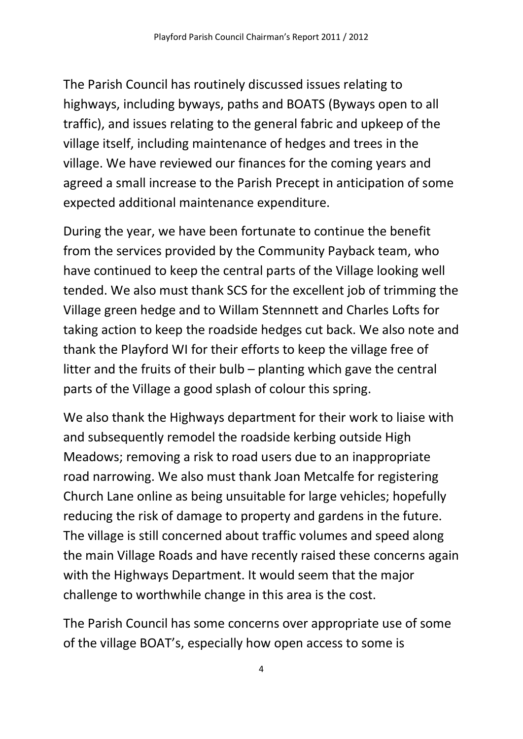The Parish Council has routinely discussed issues relating to highways, including byways, paths and BOATS (Byways open to all traffic), and issues relating to the general fabric and upkeep of the village itself, including maintenance of hedges and trees in the village. We have reviewed our finances for the coming years and agreed a small increase to the Parish Precept in anticipation of some expected additional maintenance expenditure.

During the year, we have been fortunate to continue the benefit from the services provided by the Community Payback team, who have continued to keep the central parts of the Village looking well tended. We also must thank SCS for the excellent job of trimming the Village green hedge and to Willam Stennnett and Charles Lofts for taking action to keep the roadside hedges cut back. We also note and thank the Playford WI for their efforts to keep the village free of litter and the fruits of their bulb – planting which gave the central parts of the Village a good splash of colour this spring.

We also thank the Highways department for their work to liaise with and subsequently remodel the roadside kerbing outside High Meadows; removing a risk to road users due to an inappropriate road narrowing. We also must thank Joan Metcalfe for registering Church Lane online as being unsuitable for large vehicles; hopefully reducing the risk of damage to property and gardens in the future. The village is still concerned about traffic volumes and speed along the main Village Roads and have recently raised these concerns again with the Highways Department. It would seem that the major challenge to worthwhile change in this area is the cost.

The Parish Council has some concerns over appropriate use of some of the village BOAT's, especially how open access to some is

4